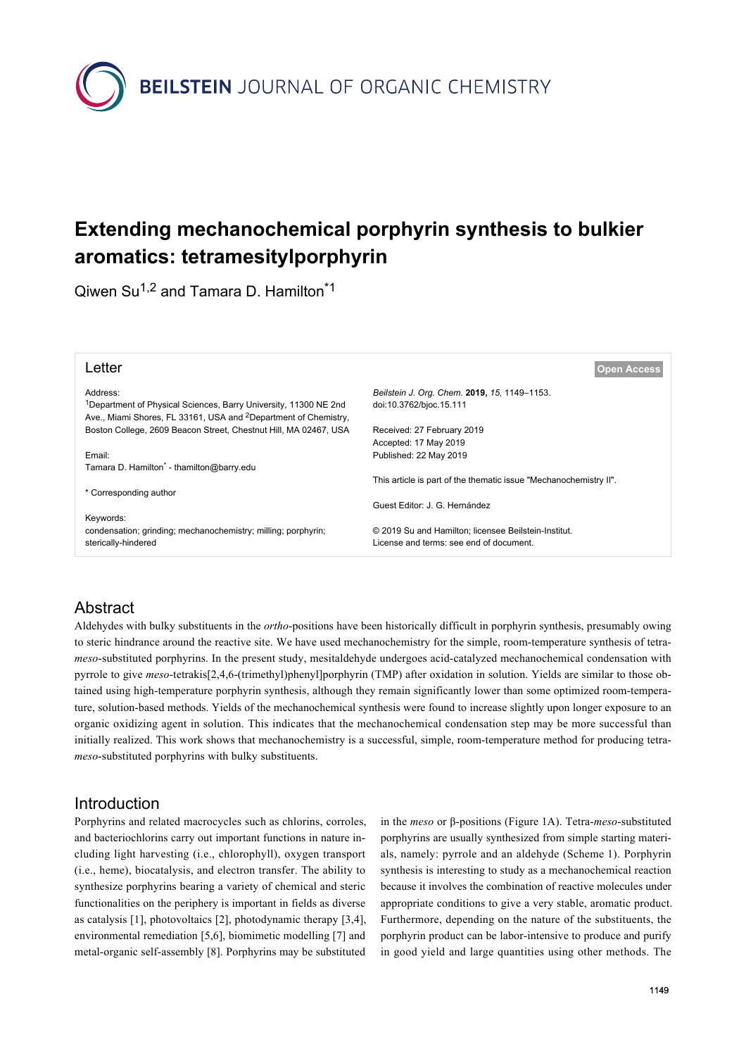

# **Extending mechanochemical porphyrin synthesis to bulkier aromatics: tetramesitylporphyrin**

Qiwen Su<sup>1,2</sup> and Tamara D. Hamilton<sup>\*1</sup>

| Letter                                                                                                                                                      | <b>Open Access</b>                                                |
|-------------------------------------------------------------------------------------------------------------------------------------------------------------|-------------------------------------------------------------------|
| Address:                                                                                                                                                    | Beilstein J. Org. Chem. 2019, 15, 1149-1153.                      |
| <sup>1</sup> Department of Physical Sciences, Barry University, 11300 NE 2nd<br>Ave., Miami Shores, FL 33161, USA and <sup>2</sup> Department of Chemistry, | doi:10.3762/bioc.15.111                                           |
| Boston College, 2609 Beacon Street, Chestnut Hill, MA 02467, USA                                                                                            | Received: 27 February 2019                                        |
|                                                                                                                                                             | Accepted: 17 May 2019                                             |
| Email:                                                                                                                                                      | Published: 22 May 2019                                            |
| Tamara D. Hamilton <sup>®</sup> - thamilton@barry.edu                                                                                                       |                                                                   |
|                                                                                                                                                             | This article is part of the thematic issue "Mechanochemistry II". |
| * Corresponding author                                                                                                                                      |                                                                   |
|                                                                                                                                                             | Guest Editor: J. G. Hernández                                     |
| Keywords:                                                                                                                                                   |                                                                   |
| condensation; grinding; mechanochemistry; milling; porphyrin;                                                                                               | © 2019 Su and Hamilton; licensee Beilstein-Institut.              |
| sterically-hindered                                                                                                                                         | License and terms: see end of document.                           |

# Abstract

Aldehydes with bulky substituents in the *ortho*-positions have been historically difficult in porphyrin synthesis, presumably owing to steric hindrance around the reactive site. We have used mechanochemistry for the simple, room-temperature synthesis of tetra*meso*-substituted porphyrins. In the present study, mesitaldehyde undergoes acid-catalyzed mechanochemical condensation with pyrrole to give *meso*-tetrakis[2,4,6-(trimethyl)phenyl]porphyrin (TMP) after oxidation in solution. Yields are similar to those obtained using high-temperature porphyrin synthesis, although they remain significantly lower than some optimized room-temperature, solution-based methods. Yields of the mechanochemical synthesis were found to increase slightly upon longer exposure to an organic oxidizing agent in solution. This indicates that the mechanochemical condensation step may be more successful than initially realized. This work shows that mechanochemistry is a successful, simple, room-temperature method for producing tetra*meso*-substituted porphyrins with bulky substituents.

# Introduction

Porphyrins and related macrocycles such as chlorins, corroles, and bacteriochlorins carry out important functions in nature including light harvesting (i.e., chlorophyll), oxygen transport (i.e., heme), biocatalysis, and electron transfer. The ability to synthesize porphyrins bearing a variety of chemical and steric functionalities on the periphery is important in fields as diverse as catalysis [\[1\],](#page-4-0) photovoltaics [\[2\]](#page-4-1), photodynamic therapy [\[3,4\]](#page-4-2), environmental remediation [\[5,6\],](#page-4-3) biomimetic modelling [\[7\]](#page-4-4) and metal-organic self-assembly [\[8\].](#page-4-5) Porphyrins may be substituted

in the *meso* or β-positions ([Figure 1A](#page-1-0)). Tetra-*meso*-substituted porphyrins are usually synthesized from simple starting materials, namely: pyrrole and an aldehyde [\(Scheme 1](#page-1-1)). Porphyrin synthesis is interesting to study as a mechanochemical reaction because it involves the combination of reactive molecules under appropriate conditions to give a very stable, aromatic product. Furthermore, depending on the nature of the substituents, the porphyrin product can be labor-intensive to produce and purify in good yield and large quantities using other methods. The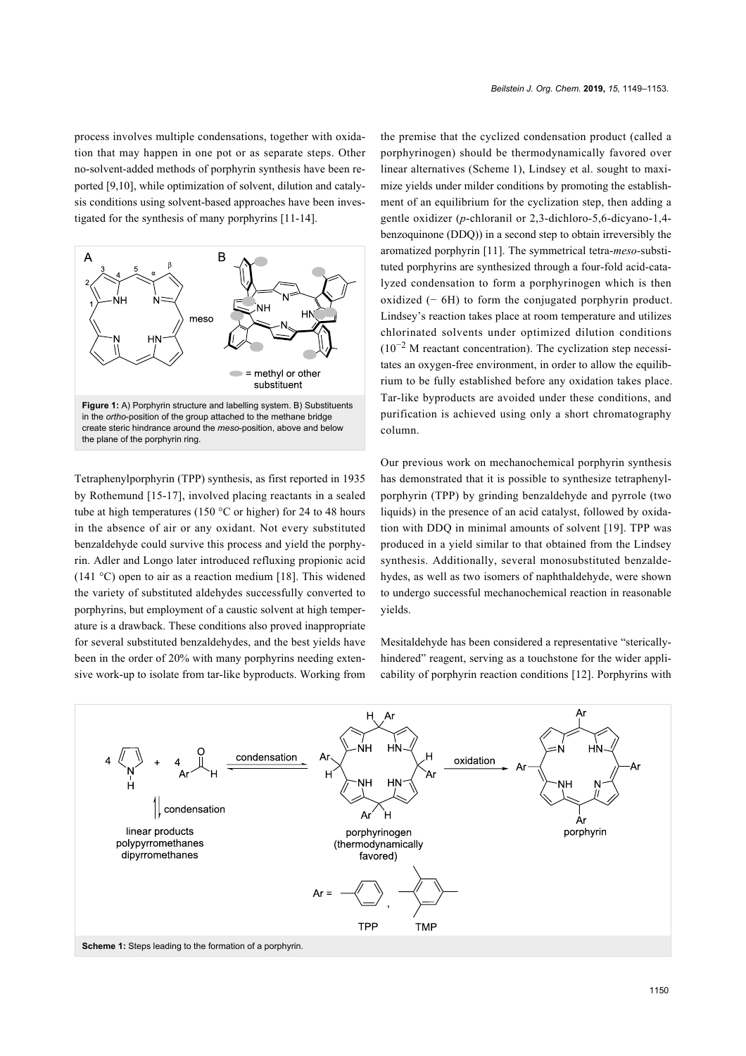process involves multiple condensations, together with oxidation that may happen in one pot or as separate steps. Other no-solvent-added methods of porphyrin synthesis have been reported [\[9,10\],](#page-4-6) while optimization of solvent, dilution and catalysis conditions using solvent-based approaches have been investigated for the synthesis of many porphyrins [\[11-14\]](#page-4-7).

<span id="page-1-0"></span>

Tetraphenylporphyrin (TPP) synthesis, as first reported in 1935 by Rothemund [\[15-17\]](#page-4-8), involved placing reactants in a sealed tube at high temperatures (150 °C or higher) for 24 to 48 hours in the absence of air or any oxidant. Not every substituted benzaldehyde could survive this process and yield the porphyrin. Adler and Longo later introduced refluxing propionic acid (141 °C) open to air as a reaction medium [\[18\]](#page-4-9). This widened the variety of substituted aldehydes successfully converted to porphyrins, but employment of a caustic solvent at high temperature is a drawback. These conditions also proved inappropriate for several substituted benzaldehydes, and the best yields have been in the order of 20% with many porphyrins needing extensive work-up to isolate from tar-like byproducts. Working from

the premise that the cyclized condensation product (called a porphyrinogen) should be thermodynamically favored over linear alternatives ([Scheme 1](#page-1-1)), Lindsey et al. sought to maximize yields under milder conditions by promoting the establishment of an equilibrium for the cyclization step, then adding a gentle oxidizer (*p*-chloranil or 2,3-dichloro-5,6-dicyano-1,4 benzoquinone (DDQ)) in a second step to obtain irreversibly the aromatized porphyrin [\[11\].](#page-4-7) The symmetrical tetra-*meso-*substituted porphyrins are synthesized through a four-fold acid-catalyzed condensation to form a porphyrinogen which is then oxidized  $(-6H)$  to form the conjugated porphyrin product. Lindsey's reaction takes place at room temperature and utilizes chlorinated solvents under optimized dilution conditions  $(10^{-2}$  M reactant concentration). The cyclization step necessitates an oxygen-free environment, in order to allow the equilibrium to be fully established before any oxidation takes place. Tar-like byproducts are avoided under these conditions, and purification is achieved using only a short chromatography column.

Our previous work on mechanochemical porphyrin synthesis has demonstrated that it is possible to synthesize tetraphenylporphyrin (TPP) by grinding benzaldehyde and pyrrole (two liquids) in the presence of an acid catalyst, followed by oxidation with DDQ in minimal amounts of solvent [\[19\]](#page-4-10). TPP was produced in a yield similar to that obtained from the Lindsey synthesis. Additionally, several monosubstituted benzaldehydes, as well as two isomers of naphthaldehyde, were shown to undergo successful mechanochemical reaction in reasonable yields.

Mesitaldehyde has been considered a representative "stericallyhindered" reagent, serving as a touchstone for the wider applicability of porphyrin reaction conditions [\[12\]](#page-4-11). Porphyrins with

<span id="page-1-1"></span>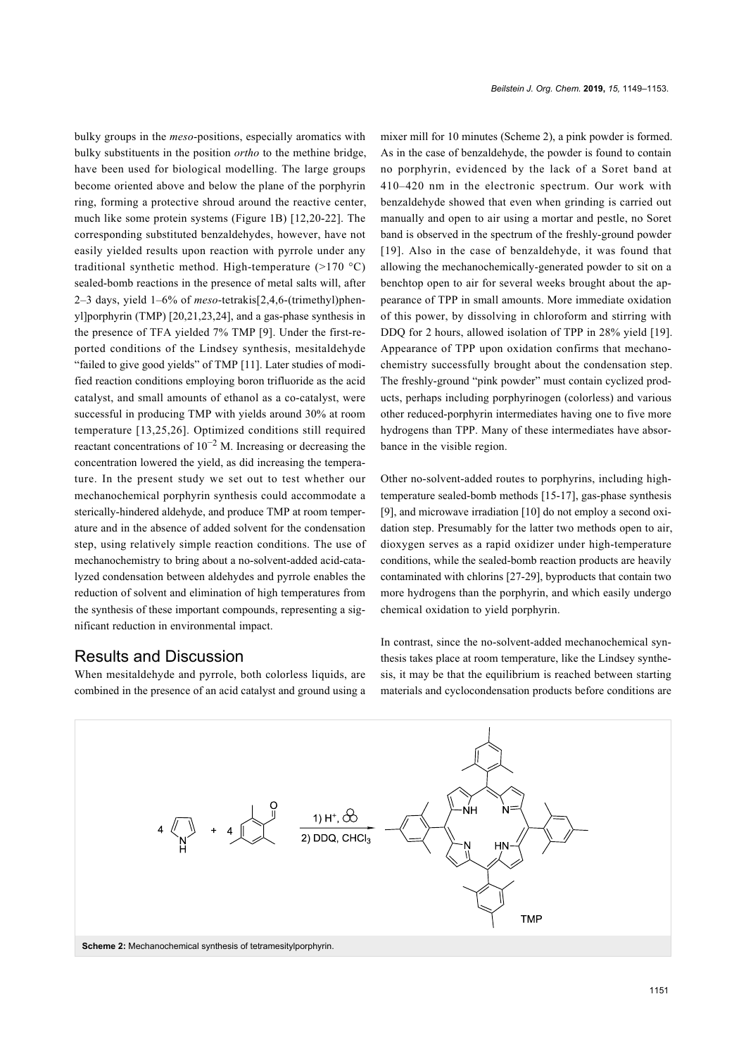bulky groups in the *meso*-positions, especially aromatics with bulky substituents in the position *ortho* to the methine bridge, have been used for biological modelling. The large groups become oriented above and below the plane of the porphyrin ring, forming a protective shroud around the reactive center, much like some protein systems ([Figure 1B\)](#page-1-0) [\[12,20-22\].](#page-4-11) The corresponding substituted benzaldehydes, however, have not easily yielded results upon reaction with pyrrole under any traditional synthetic method. High-temperature (>170 °C) sealed-bomb reactions in the presence of metal salts will, after 2–3 days, yield 1–6% of *meso*-tetrakis[2,4,6-(trimethyl)phenyl]porphyrin (TMP) [\[20,21,23,24\]](#page-4-12), and a gas-phase synthesis in the presence of TFA yielded 7% TMP [\[9\]](#page-4-6). Under the first-reported conditions of the Lindsey synthesis, mesitaldehyde "failed to give good yields" of TMP [\[11\]](#page-4-7). Later studies of modified reaction conditions employing boron trifluoride as the acid catalyst, and small amounts of ethanol as a co-catalyst, were successful in producing TMP with yields around 30% at room temperature [\[13,25,26\].](#page-4-13) Optimized conditions still required reactant concentrations of  $10^{-2}$  M. Increasing or decreasing the concentration lowered the yield, as did increasing the temperature. In the present study we set out to test whether our mechanochemical porphyrin synthesis could accommodate a sterically-hindered aldehyde, and produce TMP at room temperature and in the absence of added solvent for the condensation step, using relatively simple reaction conditions. The use of mechanochemistry to bring about a no-solvent-added acid-catalyzed condensation between aldehydes and pyrrole enables the reduction of solvent and elimination of high temperatures from the synthesis of these important compounds, representing a significant reduction in environmental impact.

### Results and Discussion

<span id="page-2-0"></span>When mesitaldehyde and pyrrole, both colorless liquids, are combined in the presence of an acid catalyst and ground using a

mixer mill for 10 minutes [\(Scheme 2\)](#page-2-0), a pink powder is formed. As in the case of benzaldehyde, the powder is found to contain no porphyrin, evidenced by the lack of a Soret band at 410–420 nm in the electronic spectrum. Our work with benzaldehyde showed that even when grinding is carried out manually and open to air using a mortar and pestle, no Soret band is observed in the spectrum of the freshly-ground powder [\[19\]](#page-4-10). Also in the case of benzaldehyde, it was found that allowing the mechanochemically-generated powder to sit on a benchtop open to air for several weeks brought about the appearance of TPP in small amounts. More immediate oxidation of this power, by dissolving in chloroform and stirring with DDQ for 2 hours, allowed isolation of TPP in 28% yield [\[19\]](#page-4-10). Appearance of TPP upon oxidation confirms that mechanochemistry successfully brought about the condensation step. The freshly-ground "pink powder" must contain cyclized products, perhaps including porphyrinogen (colorless) and various other reduced-porphyrin intermediates having one to five more hydrogens than TPP. Many of these intermediates have absorbance in the visible region.

Other no-solvent-added routes to porphyrins, including hightemperature sealed-bomb methods [\[15-17\]](#page-4-8), gas-phase synthesis [\[9\]](#page-4-6), and microwave irradiation [\[10\]](#page-4-14) do not employ a second oxidation step. Presumably for the latter two methods open to air, dioxygen serves as a rapid oxidizer under high-temperature conditions, while the sealed-bomb reaction products are heavily contaminated with chlorins [\[27-29\],](#page-4-15) byproducts that contain two more hydrogens than the porphyrin, and which easily undergo chemical oxidation to yield porphyrin.

In contrast, since the no-solvent-added mechanochemical synthesis takes place at room temperature, like the Lindsey synthesis, it may be that the equilibrium is reached between starting materials and cyclocondensation products before conditions are

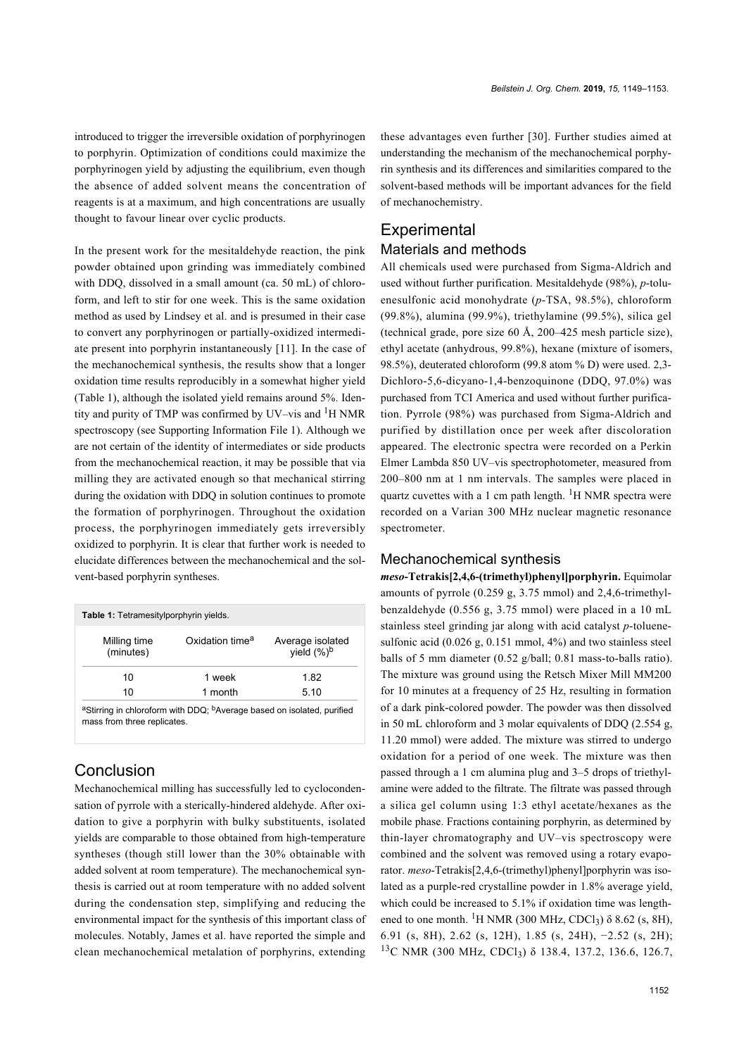introduced to trigger the irreversible oxidation of porphyrinogen to porphyrin. Optimization of conditions could maximize the porphyrinogen yield by adjusting the equilibrium, even though the absence of added solvent means the concentration of reagents is at a maximum, and high concentrations are usually thought to favour linear over cyclic products.

In the present work for the mesitaldehyde reaction, the pink powder obtained upon grinding was immediately combined with DDQ, dissolved in a small amount (ca. 50 mL) of chloroform, and left to stir for one week. This is the same oxidation method as used by Lindsey et al. and is presumed in their case to convert any porphyrinogen or partially-oxidized intermediate present into porphyrin instantaneously [\[11\]](#page-4-7). In the case of the mechanochemical synthesis, the results show that a longer oxidation time results reproducibly in a somewhat higher yield ([Table 1](#page-3-0)), although the isolated yield remains around 5%. Identity and purity of TMP was confirmed by UV–vis and <sup>1</sup>H NMR spectroscopy (see [Supporting Information File 1](#page-4-16)). Although we are not certain of the identity of intermediates or side products from the mechanochemical reaction, it may be possible that via milling they are activated enough so that mechanical stirring during the oxidation with DDQ in solution continues to promote the formation of porphyrinogen. Throughout the oxidation process, the porphyrinogen immediately gets irreversibly oxidized to porphyrin. It is clear that further work is needed to elucidate differences between the mechanochemical and the solvent-based porphyrin syntheses.

<span id="page-3-0"></span>

| Table 1: Tetramesitylporphyrin yields. |                                                                                    |                                    |
|----------------------------------------|------------------------------------------------------------------------------------|------------------------------------|
| Milling time<br>(minutes)              | Oxidation time <sup>a</sup>                                                        | Average isolated<br>yield $(\%)^b$ |
| 10                                     | 1 week                                                                             | 1.82                               |
| 10                                     | 1 month                                                                            | 5.10                               |
|                                        | aStirring in chloroform with DDQ; <sup>b</sup> Average based on isolated, purified |                                    |

mass from three replicates.

### **Conclusion**

Mechanochemical milling has successfully led to cyclocondensation of pyrrole with a sterically-hindered aldehyde. After oxidation to give a porphyrin with bulky substituents, isolated yields are comparable to those obtained from high-temperature syntheses (though still lower than the 30% obtainable with added solvent at room temperature). The mechanochemical synthesis is carried out at room temperature with no added solvent during the condensation step, simplifying and reducing the environmental impact for the synthesis of this important class of molecules. Notably, James et al. have reported the simple and clean mechanochemical metalation of porphyrins, extending

these advantages even further [\[30\].](#page-4-17) Further studies aimed at understanding the mechanism of the mechanochemical porphyrin synthesis and its differences and similarities compared to the solvent-based methods will be important advances for the field of mechanochemistry.

### **Experimental** Materials and methods

All chemicals used were purchased from Sigma-Aldrich and used without further purification. Mesitaldehyde (98%), *p*-toluenesulfonic acid monohydrate (*p*-TSA, 98.5%), chloroform (99.8%), alumina (99.9%), triethylamine (99.5%), silica gel (technical grade, pore size 60 Å, 200–425 mesh particle size), ethyl acetate (anhydrous, 99.8%), hexane (mixture of isomers, 98.5%), deuterated chloroform (99.8 atom % D) were used. 2,3- Dichloro-5,6-dicyano-1,4-benzoquinone (DDQ, 97.0%) was purchased from TCI America and used without further purification. Pyrrole (98%) was purchased from Sigma-Aldrich and purified by distillation once per week after discoloration appeared. The electronic spectra were recorded on a Perkin Elmer Lambda 850 UV–vis spectrophotometer, measured from 200–800 nm at 1 nm intervals. The samples were placed in quartz cuvettes with a 1 cm path length.  ${}^{1}$ H NMR spectra were recorded on a Varian 300 MHz nuclear magnetic resonance spectrometer.

#### Mechanochemical synthesis

*meso***-Tetrakis[2,4,6-(trimethyl)phenyl]porphyrin.** Equimolar amounts of pyrrole (0.259 g, 3.75 mmol) and 2,4,6-trimethylbenzaldehyde (0.556 g, 3.75 mmol) were placed in a 10 mL stainless steel grinding jar along with acid catalyst *p*-toluenesulfonic acid (0.026 g, 0.151 mmol, 4%) and two stainless steel balls of 5 mm diameter (0.52 g/ball; 0.81 mass-to-balls ratio). The mixture was ground using the Retsch Mixer Mill MM200 for 10 minutes at a frequency of 25 Hz, resulting in formation of a dark pink-colored powder. The powder was then dissolved in 50 mL chloroform and 3 molar equivalents of DDQ (2.554 g, 11.20 mmol) were added. The mixture was stirred to undergo oxidation for a period of one week. The mixture was then passed through a 1 cm alumina plug and 3–5 drops of triethylamine were added to the filtrate. The filtrate was passed through a silica gel column using 1:3 ethyl acetate/hexanes as the mobile phase. Fractions containing porphyrin, as determined by thin-layer chromatography and UV–vis spectroscopy were combined and the solvent was removed using a rotary evaporator. *meso*-Tetrakis[2,4,6-(trimethyl)phenyl]porphyrin was isolated as a purple-red crystalline powder in 1.8% average yield, which could be increased to 5.1% if oxidation time was lengthened to one month. <sup>1</sup>H NMR (300 MHz, CDCl<sub>3</sub>)  $\delta$  8.62 (s, 8H), 6.91 (s, 8H), 2.62 (s, 12H), 1.85 (s, 24H), −2.52 (s, 2H); <sup>13</sup>C NMR (300 MHz, CDCl<sub>3</sub>) δ 138.4, 137.2, 136.6, 126.7,